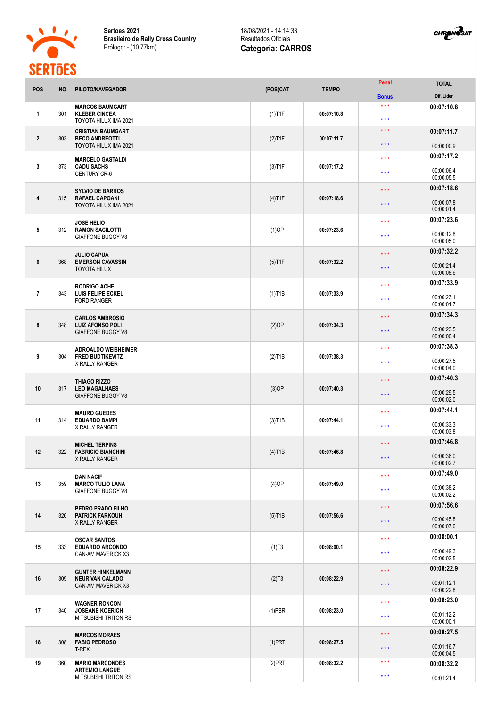

**Sertoes 2021 Brasileiro de Rally Cross Country** Prólogo: - (10.77km)



|                 | ,,,,,,,,  |                                                                               |           |              | Penal                                      |                            |
|-----------------|-----------|-------------------------------------------------------------------------------|-----------|--------------|--------------------------------------------|----------------------------|
| POS             | <b>NO</b> | PILOTO/NAVEGADOR                                                              | (POS)CAT  | <b>TEMPO</b> |                                            | <b>TOTAL</b><br>Dif. Lider |
|                 |           |                                                                               |           |              | <b>Bonus</b><br>$* * *$                    |                            |
| $\mathbf{1}$    | 301       | <b>MARCOS BAUMGART</b><br><b>KLEBER CINCEA</b><br>TOYOTA HILUX IMA 2021       | $(1)$ T1F | 00:07:10.8   | $\star \star \star$                        | 00:07:10.8                 |
| $\overline{2}$  | 303       | <b>CRISTIAN BAUMGART</b><br><b>BECO ANDREOTTI</b>                             | $(2)$ T1F | 00:07:11.7   | $\star\star\star$                          | 00:07:11.7                 |
|                 |           | TOYOTA HILUX IMA 2021                                                         |           |              | $\star \star \star$                        | 00:00:00.9                 |
| 3               | 373       | <b>MARCELO GASTALDI</b><br><b>CADU SACHS</b><br><b>CENTURY CR-6</b>           | $(3)$ T1F | 00:07:17.2   | $\star \star \star$<br>$\star \star \star$ | 00:07:17.2<br>00:00:06.4   |
|                 |           |                                                                               |           |              |                                            | 00:00:05.5<br>00:07:18.6   |
| 4               | 315       | <b>SYLVIO DE BARROS</b><br><b>RAFAEL CAPOANI</b><br>TOYOTA HILUX IMA 2021     | $(4)$ T1F | 00:07:18.6   | $\star$ $\star$ $\star$<br>$* * *$         | 00:00:07.8<br>00:00:01.4   |
|                 |           | <b>JOSE HELIO</b>                                                             |           | 00:07:23.6   | $* * *$                                    | 00:07:23.6                 |
| 5               | 312       | <b>RAMON SACILOTTI</b><br><b>GIAFFONE BUGGY V8</b>                            | $(1)$ OP  |              | $***$                                      | 00:00:12.8<br>00:00:05.0   |
|                 |           | <b>JULIO CAPUA</b>                                                            |           | 00:07:32.2   | * * *                                      | 00:07:32.2                 |
| $6\phantom{1}6$ | 368       | <b>EMERSON CAVASSIN</b><br><b>TOYOTA HILUX</b>                                | $(5)$ T1F |              | $***$                                      | 00:00:21.4<br>00:00:08.6   |
|                 |           | <b>RODRIGO ACHE</b><br><b>LUIS FELIPE ECKEL</b>                               |           |              | $* * *$                                    | 00:07:33.9                 |
| $\overline{7}$  | 343       | <b>FORD RANGER</b>                                                            | $(1)$ T1B | 00:07:33.9   | $\star\star\star$                          | 00:00:23.1<br>00:00:01.7   |
|                 |           | <b>CARLOS AMBROSIO</b>                                                        |           | 00:07:34.3   | $* * *$                                    | 00:07:34.3                 |
| 8               | 348       | <b>LUIZ AFONSO POLI</b><br><b>GIAFFONE BUGGY V8</b>                           | (2)OP     |              | $\star \star \star$                        | 00:00:23.5<br>00:00:00.4   |
|                 |           | <b>ADROALDO WEISHEIMER</b>                                                    |           |              | $\star \star \star$                        | 00:07:38.3                 |
| 9               | 304       | <b>FRED BUDTIKEVITZ</b><br><b>X RALLY RANGER</b>                              | $(2)$ T1B | 00:07:38.3   | $\star \star \star$                        | 00:00:27.5<br>00:00:04.0   |
|                 |           | <b>THIAGO RIZZO</b>                                                           |           | 00:07:40.3   | $\star$ $\star$ $\star$                    | 00:07:40.3                 |
| 10              | 317       | <b>LEO MAGALHAES</b><br><b>GIAFFONE BUGGY V8</b>                              | $(3)$ OP  |              | $\star\star\star$                          | 00:00:29.5<br>00:00:02.0   |
| 11              | 314       | <b>MAURO GUEDES</b><br><b>EDUARDO BAMPI</b>                                   | $(3)$ T1B | 00:07:44.1   | $***$                                      | 00:07:44.1                 |
|                 |           | X RALLY RANGER                                                                |           |              | $\star \star \star$                        | 00:00:33.3<br>00:00:03.8   |
|                 |           | <b>MICHEL TERPINS</b>                                                         |           | 00:07:46.8   | $\star$ $\star$ $\star$                    | 00:07:46.8                 |
| 12              | 322       | <b>FABRICIO BIANCHINI</b><br>X RALLY RANGER                                   | $(4)$ T1B |              | $\star\star\star$                          | 00:00:36.0<br>00:00:02.7   |
|                 |           | <b>DAN NACIF</b>                                                              |           | 00:07:49.0   | $\star\star\star$                          | 00:07:49.0                 |
| 13              | 359       | <b>MARCO TULIO LANA</b><br><b>GIAFFONE BUGGY V8</b>                           | $(4)$ OP  |              | $\star\star\star$                          | 00:00:38.2<br>00:00:02.2   |
|                 |           | PEDRO PRADO FILHO                                                             |           | 00:07:56.6   | $\star$ $\star$ $\star$                    | 00:07:56.6                 |
| 14              | 326       | <b>PATRICK FARKOUH</b><br><b>X RALLY RANGER</b>                               | $(5)$ T1B |              | $\star\star\star$                          | 00:00:45.8<br>00:00:07.6   |
| 15              | 333       | <b>OSCAR SANTOS</b><br><b>EDUARDO ARCONDO</b><br><b>CAN-AM MAVERICK X3</b>    | (1)T3     | 00:08:00.1   | $***$                                      | 00:08:00.1                 |
|                 |           |                                                                               |           |              | $\star\star\star$                          | 00:00:49.3<br>00:00:03.5   |
|                 | 309       | <b>GUNTER HINKELMANN</b><br><b>NEURIVAN CALADO</b><br>CAN-AM MAVERICK X3      | (2)T3     | 00:08:22.9   | * * *                                      | 00:08:22.9                 |
| 16              |           |                                                                               |           |              | $\star$ $\star$ $\star$                    | 00:01:12.1<br>00:00:22.8   |
|                 | 340       | <b>WAGNER RONCON</b><br><b>JOSEANE KOERICH</b><br><b>MITSUBISHI TRITON RS</b> | $(1)$ PBR | 00:08:23.0   | $\star \star \star$                        | 00:08:23.0                 |
| 17              |           |                                                                               |           |              | $\star\star\star$                          | 00:01:12.2<br>00:00:00.1   |
| 18              | 308       | <b>MARCOS MORAES</b><br><b>FABIO PEDROSO</b><br>T-REX                         | $(1)$ PRT | 00:08:27.5   | $\star$ $\star$ $\star$                    | 00:08:27.5                 |
|                 |           |                                                                               |           |              | $***$                                      | 00:01:16.7<br>00:00:04.5   |
| 19              | 360       | <b>MARIO MARCONDES</b>                                                        | $(2)$ PRT | 00:08:32.2   | $***$                                      | 00:08:32.2                 |
|                 |           | <b>ARTEMIO LANGUE</b><br><b>MITSUBISHI TRITON RS</b>                          |           |              | $\star\star\star$                          | 00:01:21.4                 |